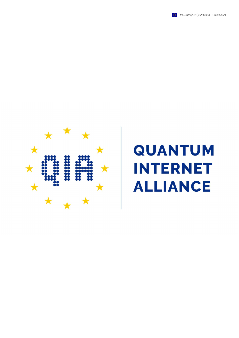



## **QUANTUM INTERNET LIANCE**  $\boldsymbol{\Delta}$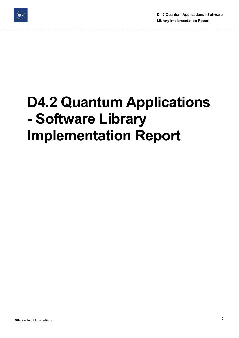

D4.2 Quantum Applications - Software Library Implementation Report

# D4.2 Quantum Applications - Software Library Implementation Report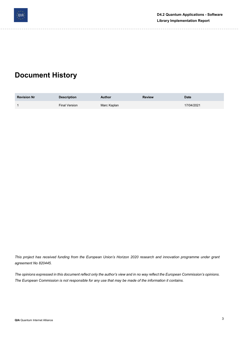

## Document History

| <b>Revision Nr</b> | <b>Description</b>   | <b>Author</b> | <b>Review</b> | <b>Date</b> |
|--------------------|----------------------|---------------|---------------|-------------|
|                    | <b>Final Version</b> | Marc Kaplan   |               | 17/04/2021  |

This project has received funding from the European Union's Horizon 2020 research and innovation programme under grant agreement No 820445.

The opinions expressed in this document reflect only the author's view and in no way reflect the European Commission's opinions. The European Commission is not responsible for any use that may be made of the information it contains.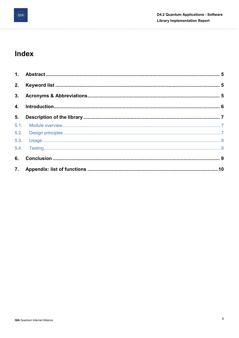

 $- - - - - -$ 

#### Index

| 2. |  |
|----|--|
|    |  |
|    |  |
| 5. |  |
|    |  |
|    |  |
|    |  |
|    |  |
|    |  |
|    |  |

 $\sim$   $\sim$ 

 $- - - - - -$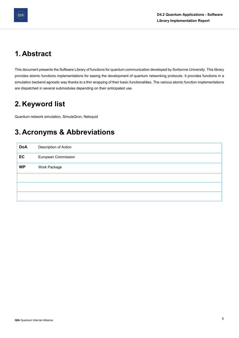

## 1. Abstract

This document presents the Software Library of functions for quantum communication developed by Sorbonne University. This library provides atomic functions implementations for easing the development of quantum networking protocols. It provides functions in a simulation backend agnostic way thanks to a thin wrapping of their basic functionalities. The various atomic function implementations are dispatched in several submodules depending on their anticipated use.

## 2. Keyword list

Quantum network simulation, SimulaQron, Netsquid

## 3. Acronyms & Abbreviations

| <b>DoA</b> | Description of Action      |
|------------|----------------------------|
| EC         | <b>European Commission</b> |
| <b>WP</b>  | Work Package               |
|            |                            |
|            |                            |
|            |                            |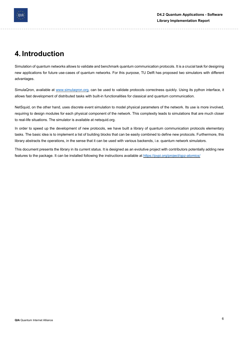

## 4. Introduction

Simulation of quantum networks allows to validate and benchmark quantum communication protocols. It is a crucial task for designing new applications for future use-cases of quantum networks. For this purpose, TU Delft has proposed two simulators with different advantages.

SimulaQron, available at www.simulaqron.org, can be used to validate protocols correctness quickly. Using its python interface, it allows fast development of distributed tasks with built-in functionalities for classical and quantum communication.

NetSquid, on the other hand, uses discrete event simulation to model physical parameters of the network. Its use is more involved, requiring to design modules for each physical component of the network. This complexity leads to simulations that are much closer to real-life situations. The simulator is available at netsquid.org.

In order to speed up the development of new protocols, we have built a library of quantum communication protocols elementary tasks. The basic idea is to implement a list of building blocks that can be easily combined to define new protocols. Furthermore, this library abstracts the operations, in the sense that it can be used with various backends, i.e. quantum network simulators.

This document presents the library in its current status. It is designed as an evolutive project with contributors potentially adding new features to the package. It can be installed following the instructions available at https://pypi.org/project/qpz-atomics/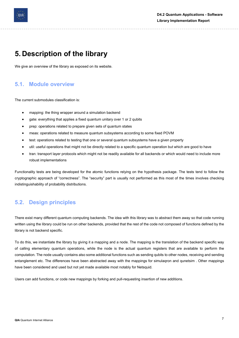

#### 5. Description of the library

We give an overview of the library as exposed on its website.

#### 5.1. Module overview

The current submodules classification is:

- mapping: the thing wrapper around a simulation backend
- gate: everything that applies a fixed quantum unitary over 1 or 2 qubits
- prep: operations related to prepare given sets of quantum states
- meas: operations related to measure quantum subsystems according to some fixed POVM
- test: operations related to testing that one or several quantum subsystems have a given property
- util: useful operations that might not be directly related to a specific quantum operation but which are good to have
- tran: transport layer protocols which might not be readily available for all backends or which would need to include more robust implementations

Functionality tests are being developed for the atomic functions relying on the hypothesis package. The tests tend to follow the cryptographic approach of "correctness". The "security" part is usually not performed as this most of the times involves checking indistinguishability of probability distributions.

#### 5.2. Design principles

There exist many different quantum computing backends. The idea with this library was to abstract them away so that code running written using the library could be run on other backends, provided that the rest of the code not composed of functions defined by the library is not backend specific.

To do this, we instantiate the library by giving it a mapping and a node. The mapping is the translation of the backend specific way of calling elementary quantum operations, while the node is the actual quantum registers that are available to perform the computation. The node usually contains also some additional functions such as sending qubits to other nodes, receiving and sending entanglement etc. The differences have been abstracted away with the mappings for simulaqron and qunetsim . Other mappings have been considered and used but not yet made available most notably for Netsquid.

Users can add functions, or code new mappings by forking and pull-requesting insertion of new additions.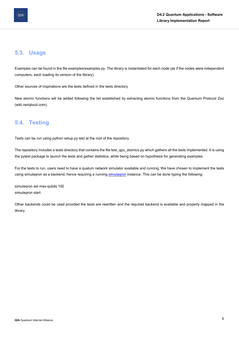

#### 5.3. Usage

Examples can be found in the file examples/examples.py. The library is instantiated for each node (as if the nodes were independent computers, each loading its version of the library).

Other sources of inspirations are the tests defined in the tests directory

New atomic functions will be added following the list established by extracting atomic functions from the Quantum Protocol Zoo (wiki.veriqloud.com).

#### 5.4. Testing

Tests can be run using python setup.py test at the root of the repository.

The repository includes a tests directory that contains the file test\_qpz\_atomics.py which gathers all the tests implemented. It is using the pytest package to launch the tests and gather statistics, while being based on hypothesis for generating examples.

For the tests to run, users need to have a quatum network simulator available and running. We have chosen to implement the tests using simulagron as a backend, hence requiring a running simulagron instance. This can be done typing the following:

simulaqron set max-qubits 100 simulaqron start

Other backends could be used provided the tests are rewritten and the required backend is available and properly mapped in the library.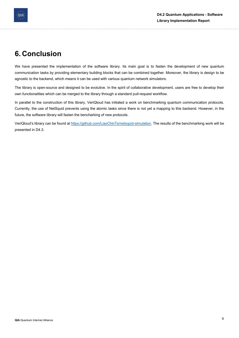

#### 6. Conclusion

We have presented the implementation of the software library. Its main goal is to fasten the development of new quantum communication tasks by providing elementary building blocks that can be combined together. Moreover, the library is design to be agnostic to the backend, which means it can be used with various quantum network simulators.

The library is open-source and designed to be evolutive. In the spirit of collaborative development, users are free to develop their own functionalities which can be merged to the library through a standard pull-request workflow.

In parallel to the construction of this library, VeriQloud has initiated a work on benchmarking quantum communication protocols. Currently, the use of NetSquid prevents using the atomic tasks since there is not yet a mapping to this backend. However, in the future, the software library will fasten the bencharking of new protocols.

VeriQloud's library can be found at https://github.com/LiaoChinTe/netsquid-simulation. The results of the benchmarking work will be presented in D4.3.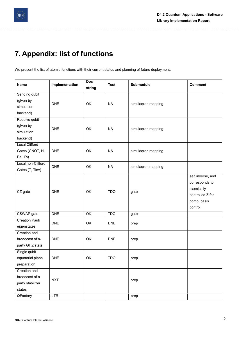## 7. Appendix: list of functions

We present the list of atomic functions with their current status and planning of future deployment.

| <b>Name</b>           | Implementation | <b>Doc</b><br>string | <b>Test</b> | Submodule          | <b>Comment</b>                                                                                   |
|-----------------------|----------------|----------------------|-------------|--------------------|--------------------------------------------------------------------------------------------------|
| Sending qubit         |                |                      |             |                    |                                                                                                  |
| (given by             | <b>DNE</b>     | OK                   | <b>NA</b>   | simulaqron mapping |                                                                                                  |
| simulation            |                |                      |             |                    |                                                                                                  |
| backend)              |                |                      |             |                    |                                                                                                  |
| Receive qubit         |                |                      |             |                    |                                                                                                  |
| (given by             | <b>DNE</b>     | OK                   | <b>NA</b>   | simulaqron mapping |                                                                                                  |
| simulation            |                |                      |             |                    |                                                                                                  |
| backend)              |                |                      |             |                    |                                                                                                  |
| <b>Local Clifford</b> |                |                      |             |                    |                                                                                                  |
| Gates (CNOT, H,       | <b>DNE</b>     | OK                   | <b>NA</b>   | simulaqron mapping |                                                                                                  |
| Pauli's)              |                |                      |             |                    |                                                                                                  |
| Local non-Clifford    | <b>DNE</b>     | OK                   | <b>NA</b>   | simulaqron mapping |                                                                                                  |
| Gates (T, Tinv)       |                |                      |             |                    |                                                                                                  |
| CZ gate               | <b>DNE</b>     | OK                   | <b>TDO</b>  | gate               | self inverse, and<br>corresponds to<br>classically<br>controlled Z for<br>comp. basis<br>control |
| CSWAP gate            | <b>DNE</b>     | $\overline{OK}$      | <b>TDO</b>  | gate               |                                                                                                  |
| <b>Creation Pauli</b> |                |                      |             |                    |                                                                                                  |
| eigenstates           | <b>DNE</b>     | OK                   | <b>DNE</b>  | prep               |                                                                                                  |
| Creation and          |                |                      |             |                    |                                                                                                  |
| broadcast of n-       | <b>DNE</b>     | OK                   | <b>DNE</b>  | prep               |                                                                                                  |
| party GHZ state       |                |                      |             |                    |                                                                                                  |
| Single qubit          |                |                      |             |                    |                                                                                                  |
| equatorial plane      | <b>DNE</b>     | OK                   | <b>TDO</b>  | prep               |                                                                                                  |
| preparation           |                |                      |             |                    |                                                                                                  |
| Creation and          |                |                      |             |                    |                                                                                                  |
| broadcast of n-       |                |                      |             |                    |                                                                                                  |
| party stabilizer      | <b>NXT</b>     |                      |             | prep               |                                                                                                  |
| states                |                |                      |             |                    |                                                                                                  |
| QFactory              | <b>LTR</b>     |                      |             | prep               |                                                                                                  |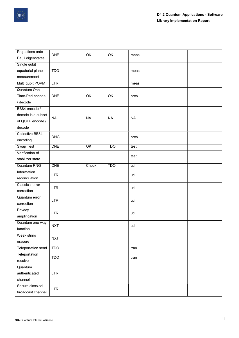

| Projections onto<br>Pauli eigenstates | <b>DNE</b> | OK              | OK         | meas      |  |
|---------------------------------------|------------|-----------------|------------|-----------|--|
| Single qubit                          |            |                 |            |           |  |
| equatorial plane                      | <b>TDO</b> |                 |            | meas      |  |
| measurement                           |            |                 |            |           |  |
| Multi qubit POVM                      | LTR        |                 |            | meas      |  |
| Quantum One-                          |            |                 |            |           |  |
| Time-Pad encode                       | <b>DNE</b> | OK              | OK         | pres      |  |
| / decode                              |            |                 |            |           |  |
| BB84 encode /                         |            |                 |            |           |  |
| decode is a subset                    |            |                 |            |           |  |
| of QOTP encode /                      | <b>NA</b>  | <b>NA</b>       | <b>NA</b>  | <b>NA</b> |  |
| decode                                |            |                 |            |           |  |
| Collective BB84                       |            |                 |            |           |  |
| encoding                              | DNG        |                 |            | pres      |  |
| <b>Swap Test</b>                      | <b>DNE</b> | $\overline{OK}$ | <b>TDO</b> | test      |  |
| Verification of                       |            |                 |            | test      |  |
| stabilizer state                      |            |                 |            |           |  |
| <b>Quantum RNG</b>                    | <b>DNE</b> | Check           | <b>TDO</b> | util      |  |
| Information                           | <b>LTR</b> |                 |            | util      |  |
| reconciliation                        |            |                 |            |           |  |
| Classical error                       | <b>LTR</b> |                 |            | util      |  |
| correction                            |            |                 |            |           |  |
| Quantum error                         | <b>LTR</b> |                 |            | util      |  |
| correction                            |            |                 |            |           |  |
| Privacy                               | <b>LTR</b> |                 |            | util      |  |
| amplification                         |            |                 |            |           |  |
| Quantum one-way                       | <b>NXT</b> |                 |            | util      |  |
| function                              |            |                 |            |           |  |
| Weak string                           | <b>NXT</b> |                 |            |           |  |
| erasure                               |            |                 |            |           |  |
| Teleportation send                    | <b>TDO</b> |                 |            | tran      |  |
| Teleportation                         | <b>TDO</b> |                 |            | tran      |  |
| receive                               |            |                 |            |           |  |
| Quantum                               |            |                 |            |           |  |
| authenticated                         | <b>LTR</b> |                 |            |           |  |
| channel                               |            |                 |            |           |  |
| Secure classical                      | <b>LTR</b> |                 |            |           |  |
| broadcast channel                     |            |                 |            |           |  |